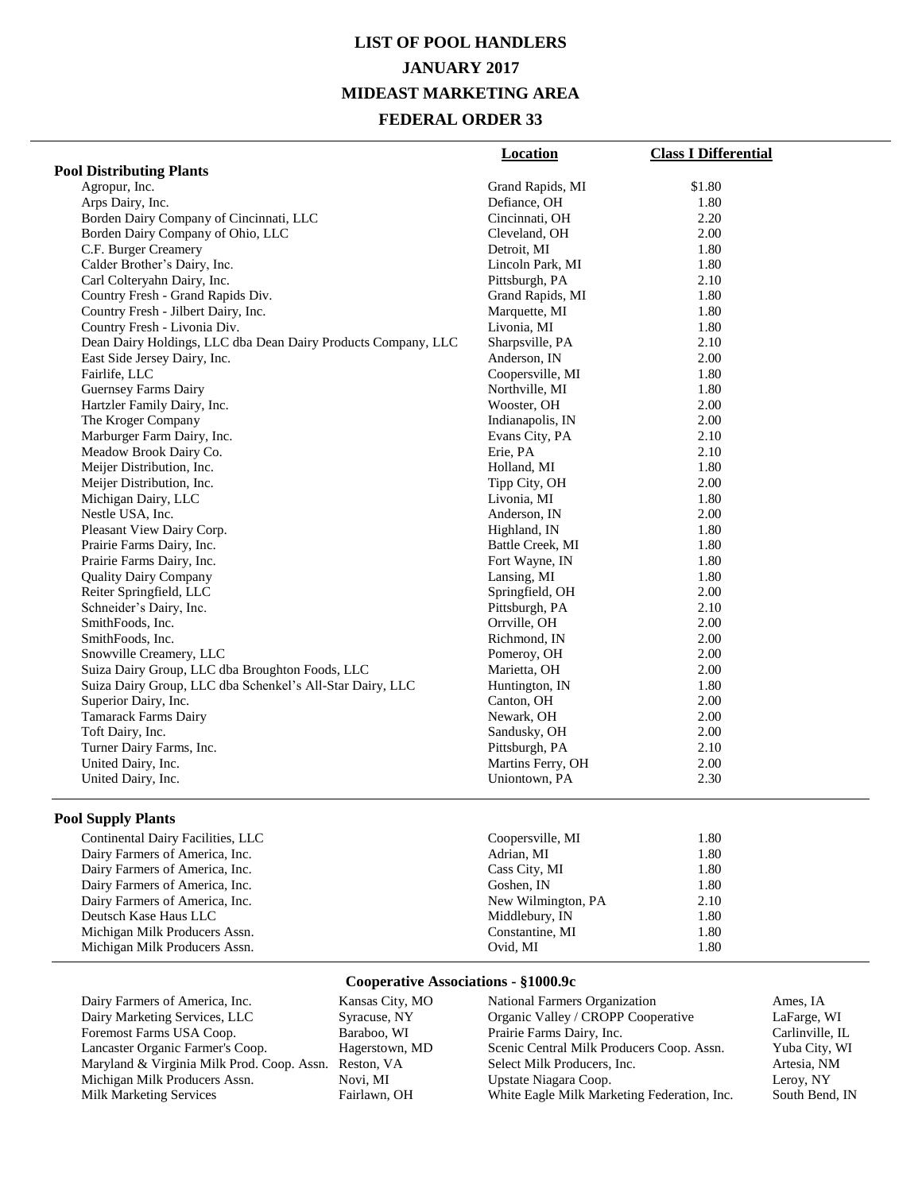# **LIST OF POOL HANDLERS JANUARY 2017 MIDEAST MARKETING AREA FEDERAL ORDER 33**

|                                                               | <b>Location</b>   | <b>Class I Differential</b> |
|---------------------------------------------------------------|-------------------|-----------------------------|
| <b>Pool Distributing Plants</b>                               |                   |                             |
| Agropur, Inc.                                                 | Grand Rapids, MI  | \$1.80                      |
| Arps Dairy, Inc.                                              | Defiance, OH      | 1.80                        |
| Borden Dairy Company of Cincinnati, LLC                       | Cincinnati, OH    | 2.20                        |
| Borden Dairy Company of Ohio, LLC                             | Cleveland, OH     | 2.00                        |
| C.F. Burger Creamery                                          | Detroit, MI       | 1.80                        |
| Calder Brother's Dairy, Inc.                                  | Lincoln Park, MI  | 1.80                        |
| Carl Colteryahn Dairy, Inc.                                   | Pittsburgh, PA    | 2.10                        |
| Country Fresh - Grand Rapids Div.                             | Grand Rapids, MI  | 1.80                        |
| Country Fresh - Jilbert Dairy, Inc.                           | Marquette, MI     | 1.80                        |
| Country Fresh - Livonia Div.                                  | Livonia, MI       | 1.80                        |
| Dean Dairy Holdings, LLC dba Dean Dairy Products Company, LLC | Sharpsville, PA   | 2.10                        |
| East Side Jersey Dairy, Inc.                                  | Anderson, IN      | 2.00                        |
| Fairlife, LLC                                                 | Coopersville, MI  | 1.80                        |
| <b>Guernsey Farms Dairy</b>                                   | Northville, MI    | 1.80                        |
| Hartzler Family Dairy, Inc.                                   | Wooster, OH       | 2.00                        |
| The Kroger Company                                            | Indianapolis, IN  | 2.00                        |
| Marburger Farm Dairy, Inc.                                    | Evans City, PA    | 2.10                        |
| Meadow Brook Dairy Co.                                        | Erie, PA          | 2.10                        |
| Meijer Distribution, Inc.                                     | Holland, MI       | 1.80                        |
| Meijer Distribution, Inc.                                     | Tipp City, OH     | 2.00                        |
| Michigan Dairy, LLC                                           | Livonia, MI       | 1.80                        |
| Nestle USA, Inc.                                              | Anderson, IN      | 2.00                        |
| Pleasant View Dairy Corp.                                     | Highland, IN      | 1.80                        |
| Prairie Farms Dairy, Inc.                                     | Battle Creek, MI  | 1.80                        |
| Prairie Farms Dairy, Inc.                                     | Fort Wayne, IN    | 1.80                        |
| <b>Quality Dairy Company</b>                                  | Lansing, MI       | 1.80                        |
| Reiter Springfield, LLC                                       | Springfield, OH   | 2.00                        |
| Schneider's Dairy, Inc.                                       | Pittsburgh, PA    | 2.10                        |
| SmithFoods, Inc.                                              | Orrville, OH      | 2.00                        |
| SmithFoods, Inc.                                              | Richmond, IN      | 2.00                        |
| Snowville Creamery, LLC                                       | Pomeroy, OH       | 2.00                        |
| Suiza Dairy Group, LLC dba Broughton Foods, LLC               | Marietta, OH      | 2.00                        |
| Suiza Dairy Group, LLC dba Schenkel's All-Star Dairy, LLC     | Huntington, IN    | 1.80                        |
| Superior Dairy, Inc.                                          | Canton, OH        | 2.00                        |
| <b>Tamarack Farms Dairy</b>                                   | Newark, OH        | 2.00                        |
| Toft Dairy, Inc.                                              | Sandusky, OH      | 2.00                        |
| Turner Dairy Farms, Inc.                                      | Pittsburgh, PA    | 2.10                        |
| United Dairy, Inc.                                            | Martins Ferry, OH | 2.00                        |
| United Dairy, Inc.                                            | Uniontown, PA     | 2.30                        |
|                                                               |                   |                             |

### **Pool Supply Plants**

| Continental Dairy Facilities, LLC | Coopersville, MI   | 1.80 |
|-----------------------------------|--------------------|------|
| Dairy Farmers of America, Inc.    | Adrian, MI         | 1.80 |
| Dairy Farmers of America, Inc.    | Cass City, MI      | 1.80 |
| Dairy Farmers of America, Inc.    | Goshen, IN         | 1.80 |
| Dairy Farmers of America, Inc.    | New Wilmington, PA | 2.10 |
| Deutsch Kase Haus LLC             | Middlebury, IN     | 1.80 |
| Michigan Milk Producers Assn.     | Constantine, MI    | 1.80 |
| Michigan Milk Producers Assn.     | Ovid, MI           | 1.80 |

### **Cooperative Associations - §1000.9c**

| Dairy Farmers of America, Inc.             | Kansas City, MO |
|--------------------------------------------|-----------------|
| Dairy Marketing Services, LLC              | Syracuse, NY    |
| Foremost Farms USA Coop.                   | Baraboo, WI     |
| Lancaster Organic Farmer's Coop.           | Hagerstown, MD  |
| Maryland & Virginia Milk Prod. Coop. Assn. | Reston, VA      |
| Michigan Milk Producers Assn.              | Novi, MI        |
| Milk Marketing Services                    | Fairlawn, OH    |

| National Farmers Organization               | Ames, IA        |
|---------------------------------------------|-----------------|
| Organic Valley / CROPP Cooperative          | LaFarge, WI     |
| Prairie Farms Dairy, Inc.                   | Carlinville, IL |
| Scenic Central Milk Producers Coop. Assn.   | Yuba City, WI   |
| Select Milk Producers, Inc.                 | Artesia, NM     |
| Upstate Niagara Coop.                       | Leroy, NY       |
| White Eagle Milk Marketing Federation, Inc. | South Bend, IN  |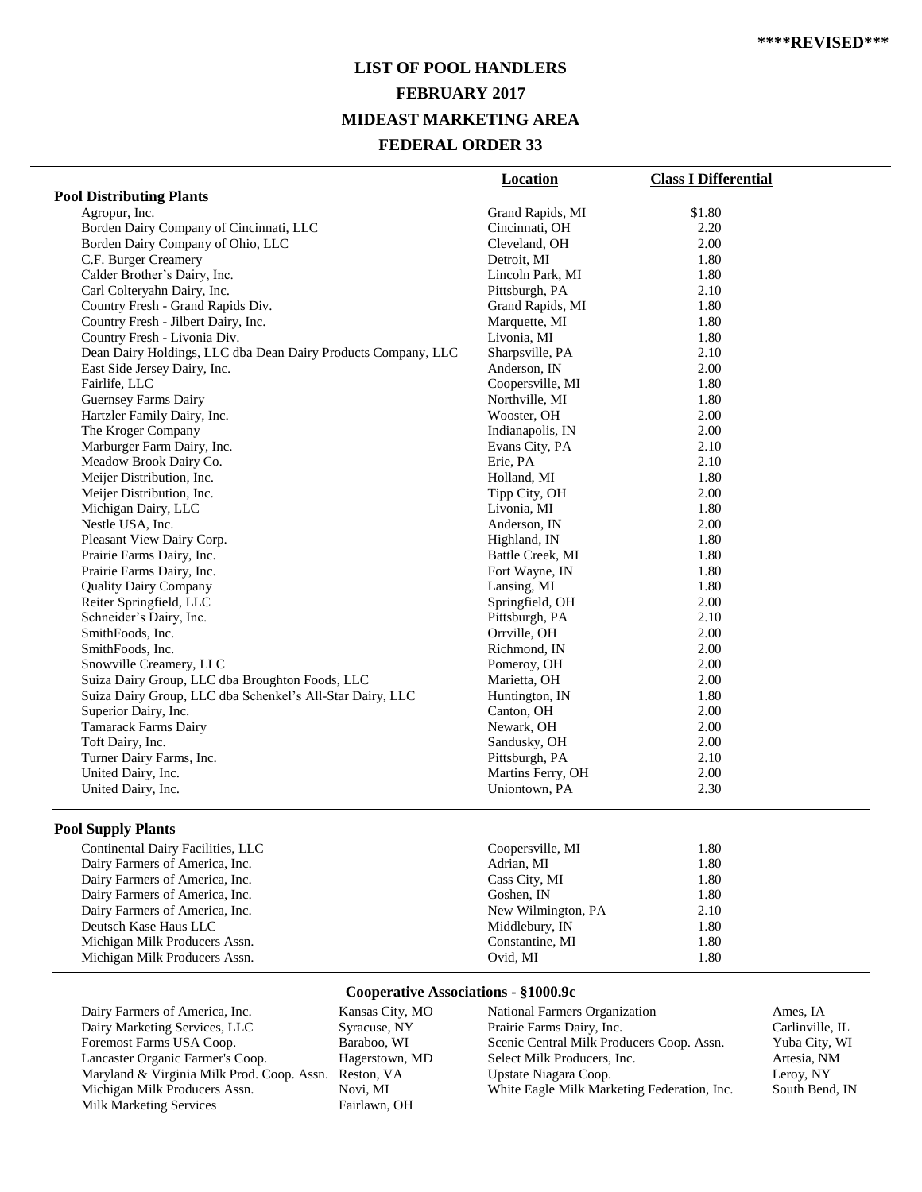# **LIST OF POOL HANDLERS FEBRUARY 2017 MIDEAST MARKETING AREA FEDERAL ORDER 33**

|                                                               | Location          | <b>Class I Differential</b> |
|---------------------------------------------------------------|-------------------|-----------------------------|
| <b>Pool Distributing Plants</b>                               |                   |                             |
| Agropur, Inc.                                                 | Grand Rapids, MI  | \$1.80                      |
| Borden Dairy Company of Cincinnati, LLC                       | Cincinnati, OH    | 2.20                        |
| Borden Dairy Company of Ohio, LLC                             | Cleveland, OH     | 2.00                        |
| C.F. Burger Creamery                                          | Detroit, MI       | 1.80                        |
| Calder Brother's Dairy, Inc.                                  | Lincoln Park, MI  | 1.80                        |
| Carl Colteryahn Dairy, Inc.                                   | Pittsburgh, PA    | 2.10                        |
| Country Fresh - Grand Rapids Div.                             | Grand Rapids, MI  | 1.80                        |
| Country Fresh - Jilbert Dairy, Inc.                           | Marquette, MI     | 1.80                        |
| Country Fresh - Livonia Div.                                  | Livonia, MI       | 1.80                        |
| Dean Dairy Holdings, LLC dba Dean Dairy Products Company, LLC | Sharpsville, PA   | 2.10                        |
| East Side Jersey Dairy, Inc.                                  | Anderson, IN      | 2.00                        |
| Fairlife, LLC                                                 | Coopersville, MI  | 1.80                        |
| <b>Guernsey Farms Dairy</b>                                   | Northville, MI    | 1.80                        |
| Hartzler Family Dairy, Inc.                                   | Wooster, OH       | 2.00                        |
| The Kroger Company                                            | Indianapolis, IN  | 2.00                        |
| Marburger Farm Dairy, Inc.                                    | Evans City, PA    | 2.10                        |
| Meadow Brook Dairy Co.                                        | Erie, PA          | 2.10                        |
| Meijer Distribution, Inc.                                     | Holland, MI       | 1.80                        |
| Meijer Distribution, Inc.                                     | Tipp City, OH     | 2.00                        |
| Michigan Dairy, LLC                                           | Livonia, MI       | 1.80                        |
| Nestle USA, Inc.                                              | Anderson, IN      | 2.00                        |
| Pleasant View Dairy Corp.                                     | Highland, IN      | 1.80                        |
| Prairie Farms Dairy, Inc.                                     | Battle Creek, MI  | 1.80                        |
| Prairie Farms Dairy, Inc.                                     | Fort Wayne, IN    | 1.80                        |
| <b>Quality Dairy Company</b>                                  | Lansing, MI       | 1.80                        |
| Reiter Springfield, LLC                                       | Springfield, OH   | 2.00                        |
| Schneider's Dairy, Inc.                                       | Pittsburgh, PA    | 2.10                        |
| SmithFoods, Inc.                                              | Orrville, OH      | 2.00                        |
| SmithFoods, Inc.                                              | Richmond, IN      | 2.00                        |
| Snowville Creamery, LLC                                       | Pomeroy, OH       | 2.00                        |
| Suiza Dairy Group, LLC dba Broughton Foods, LLC               | Marietta, OH      | 2.00                        |
| Suiza Dairy Group, LLC dba Schenkel's All-Star Dairy, LLC     | Huntington, IN    | 1.80                        |
| Superior Dairy, Inc.                                          | Canton, OH        | 2.00                        |
| <b>Tamarack Farms Dairy</b>                                   | Newark, OH        | 2.00                        |
| Toft Dairy, Inc.                                              | Sandusky, OH      | 2.00                        |
| Turner Dairy Farms, Inc.                                      | Pittsburgh, PA    | 2.10                        |
| United Dairy, Inc.                                            | Martins Ferry, OH | 2.00                        |
| United Dairy, Inc.                                            | Uniontown, PA     | 2.30                        |
|                                                               |                   |                             |

### **Pool Supply Plants**

| Continental Dairy Facilities, LLC | Coopersville, MI   | 1.80 |  |
|-----------------------------------|--------------------|------|--|
| Dairy Farmers of America, Inc.    | Adrian, MI         | 1.80 |  |
| Dairy Farmers of America, Inc.    | Cass City, MI      | 1.80 |  |
| Dairy Farmers of America, Inc.    | Goshen, IN         | 1.80 |  |
| Dairy Farmers of America, Inc.    | New Wilmington, PA | 2.10 |  |
| Deutsch Kase Haus LLC             | Middlebury, IN     | 1.80 |  |
| Michigan Milk Producers Assn.     | Constantine, MI    | 1.80 |  |
| Michigan Milk Producers Assn.     | Ovid. MI           | 1.80 |  |
|                                   |                    |      |  |

### **Cooperative Associations - §1000.9c**

| Dairy Farmers of America, Inc.                        | Kansas City, MO |
|-------------------------------------------------------|-----------------|
| Dairy Marketing Services, LLC                         | Syracuse, NY    |
| Foremost Farms USA Coop.                              | Baraboo, WI     |
| Lancaster Organic Farmer's Coop.                      | Hagerstown, MD  |
| Maryland & Virginia Milk Prod. Coop. Assn. Reston, VA |                 |
| Michigan Milk Producers Assn.                         | Novi, MI        |
| <b>Milk Marketing Services</b>                        | Fairlawn, OH    |
|                                                       |                 |

National Farmers Organization Ames, IA<br>Prairie Farms Dairy, Inc. Carlinville, IL Prairie Farms Dairy, Inc. Carlinville, IL<br>Scenic Central Milk Producers Coop. Assn. Yuba City, WI Scenic Central Milk Producers Coop. Assn. Yuba City, V<br>Select Milk Producers, Inc. Artesia, NM Select Milk Producers, Inc. Upstate Niagara Coop. Leroy, NY White Eagle Milk Marketing Federation, Inc. South Bend, IN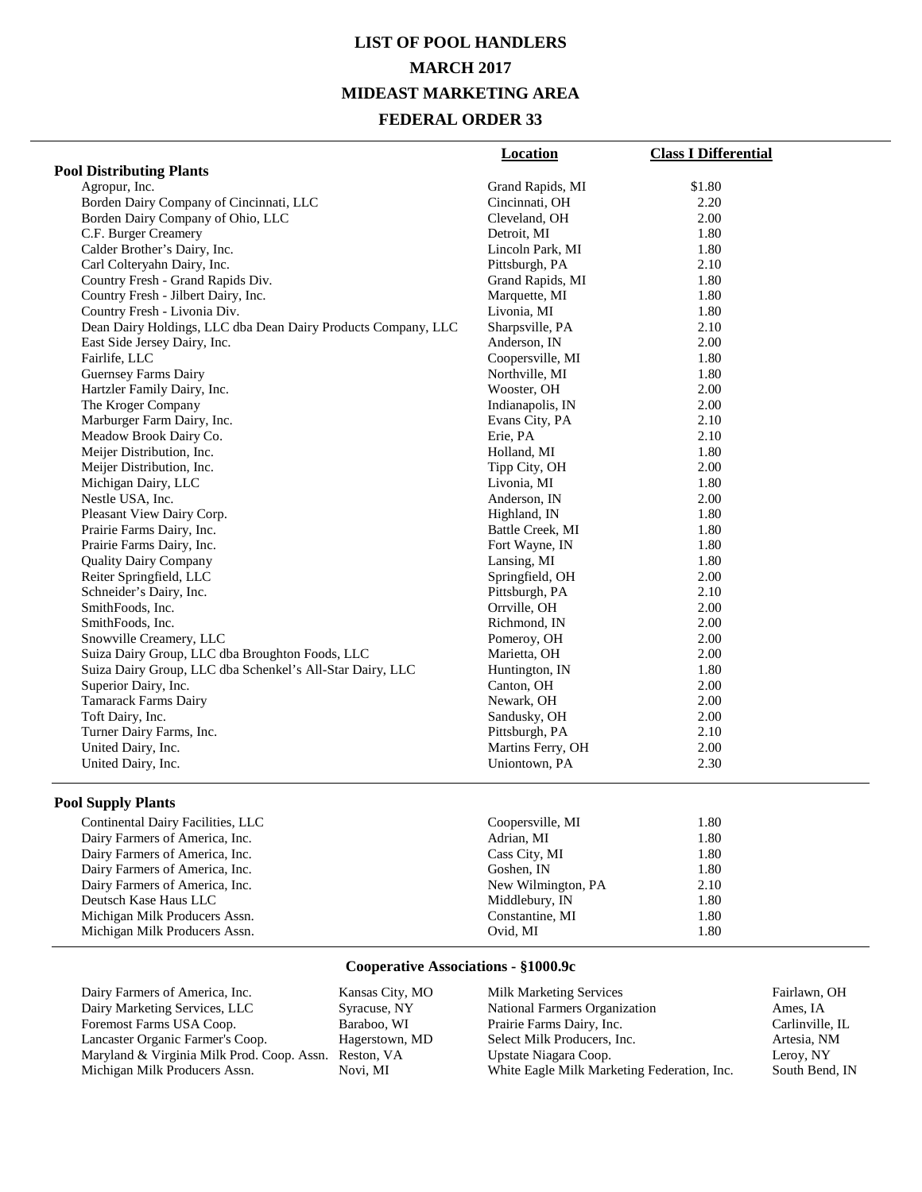# **LIST OF POOL HANDLERS MARCH 2017 MIDEAST MARKETING AREA FEDERAL ORDER 33**

|                                                               | <b>Location</b>   | <b>Class I Differential</b> |
|---------------------------------------------------------------|-------------------|-----------------------------|
| <b>Pool Distributing Plants</b>                               |                   |                             |
| Agropur, Inc.                                                 | Grand Rapids, MI  | \$1.80                      |
| Borden Dairy Company of Cincinnati, LLC                       | Cincinnati, OH    | 2.20                        |
| Borden Dairy Company of Ohio, LLC                             | Cleveland, OH     | 2.00                        |
| C.F. Burger Creamery                                          | Detroit, MI       | 1.80                        |
| Calder Brother's Dairy, Inc.                                  | Lincoln Park, MI  | 1.80                        |
| Carl Colteryahn Dairy, Inc.                                   | Pittsburgh, PA    | 2.10                        |
| Country Fresh - Grand Rapids Div.                             | Grand Rapids, MI  | 1.80                        |
| Country Fresh - Jilbert Dairy, Inc.                           | Marquette, MI     | 1.80                        |
| Country Fresh - Livonia Div.                                  | Livonia, MI       | 1.80                        |
| Dean Dairy Holdings, LLC dba Dean Dairy Products Company, LLC | Sharpsville, PA   | 2.10                        |
| East Side Jersey Dairy, Inc.                                  | Anderson, IN      | 2.00                        |
| Fairlife, LLC                                                 | Coopersville, MI  | 1.80                        |
| Guernsey Farms Dairy                                          | Northville, MI    | 1.80                        |
| Hartzler Family Dairy, Inc.                                   | Wooster, OH       | 2.00                        |
| The Kroger Company                                            | Indianapolis, IN  | 2.00                        |
| Marburger Farm Dairy, Inc.                                    | Evans City, PA    | 2.10                        |
| Meadow Brook Dairy Co.                                        | Erie, PA          | 2.10                        |
| Meijer Distribution, Inc.                                     | Holland, MI       | 1.80                        |
| Meijer Distribution, Inc.                                     | Tipp City, OH     | 2.00                        |
| Michigan Dairy, LLC                                           | Livonia, MI       | 1.80                        |
| Nestle USA, Inc.                                              | Anderson, IN      | 2.00                        |
| Pleasant View Dairy Corp.                                     | Highland, IN      | 1.80                        |
| Prairie Farms Dairy, Inc.                                     | Battle Creek, MI  | 1.80                        |
| Prairie Farms Dairy, Inc.                                     | Fort Wayne, IN    | 1.80                        |
| <b>Quality Dairy Company</b>                                  | Lansing, MI       | 1.80                        |
| Reiter Springfield, LLC                                       | Springfield, OH   | 2.00                        |
| Schneider's Dairy, Inc.                                       | Pittsburgh, PA    | 2.10                        |
| SmithFoods, Inc.                                              | Orrville, OH      | 2.00                        |
| SmithFoods, Inc.                                              | Richmond, IN      | 2.00                        |
| Snowville Creamery, LLC                                       | Pomeroy, OH       | 2.00                        |
| Suiza Dairy Group, LLC dba Broughton Foods, LLC               | Marietta, OH      | 2.00                        |
| Suiza Dairy Group, LLC dba Schenkel's All-Star Dairy, LLC     | Huntington, IN    | 1.80                        |
| Superior Dairy, Inc.                                          | Canton, OH        | 2.00                        |
| <b>Tamarack Farms Dairy</b>                                   | Newark, OH        | 2.00                        |
| Toft Dairy, Inc.                                              | Sandusky, OH      | 2.00                        |
| Turner Dairy Farms, Inc.                                      | Pittsburgh, PA    | 2.10                        |
| United Dairy, Inc.                                            | Martins Ferry, OH | 2.00                        |
| United Dairy, Inc.                                            | Uniontown, PA     | 2.30                        |
| <b>Pool Supply Plants</b>                                     |                   |                             |
| $Continantal$ Dairy Facilities $I I C$                        | Cooperaville MI   | 1.80                        |

| Continental Dairy Facilities, LLC | Coopersville, MI   | 1.80 |  |
|-----------------------------------|--------------------|------|--|
| Dairy Farmers of America, Inc.    | Adrian, MI         | 1.80 |  |
| Dairy Farmers of America, Inc.    | Cass City, MI      | 1.80 |  |
| Dairy Farmers of America, Inc.    | Goshen, IN         | 1.80 |  |
| Dairy Farmers of America, Inc.    | New Wilmington, PA | 2.10 |  |
| Deutsch Kase Haus LLC             | Middlebury, IN     | 1.80 |  |
| Michigan Milk Producers Assn.     | Constantine, MI    | 1.80 |  |
| Michigan Milk Producers Assn.     | Ovid, MI           | 1.80 |  |
|                                   |                    |      |  |

#### **Cooperative Associations - §1000.9c**

| Dairy Farmers of America, Inc.                        | Kansas City, MO |
|-------------------------------------------------------|-----------------|
| Dairy Marketing Services, LLC                         | Syracuse, NY    |
| Foremost Farms USA Coop.                              | Baraboo, WI     |
| Lancaster Organic Farmer's Coop.                      | Hagerstown, MD  |
| Maryland & Virginia Milk Prod. Coop. Assn. Reston, VA |                 |
| Michigan Milk Producers Assn.                         | Novi, MI        |

Milk Marketing Services<br>
National Farmers Organization<br>
Ames, IA National Farmers Organization Ames, IA<br>Prairie Farms Dairy, Inc. Carlinville, IL Prairie Farms Dairy, Inc. Carlinville, Il<br>Select Milk Producers, Inc. Artesia, NM Select Milk Producers, Inc. (Artesia, NM Upstate Niagara Coop. (Artesia, NM Upstate Niagara Coop. (Artesia, NM Upstate Niagara Coop. (Artesia, NM Upstate Niagara Coop. (Artesia, NM Upstate Niagara Coop. (Artesia, NM Upstat Upstate Niagara Coop. <br>
Upstate Niagara Coop. Leroy, NY<br>
Unite Eagle Milk Marketing Federation, Inc. South Bend, IN White Eagle Milk Marketing Federation, Inc.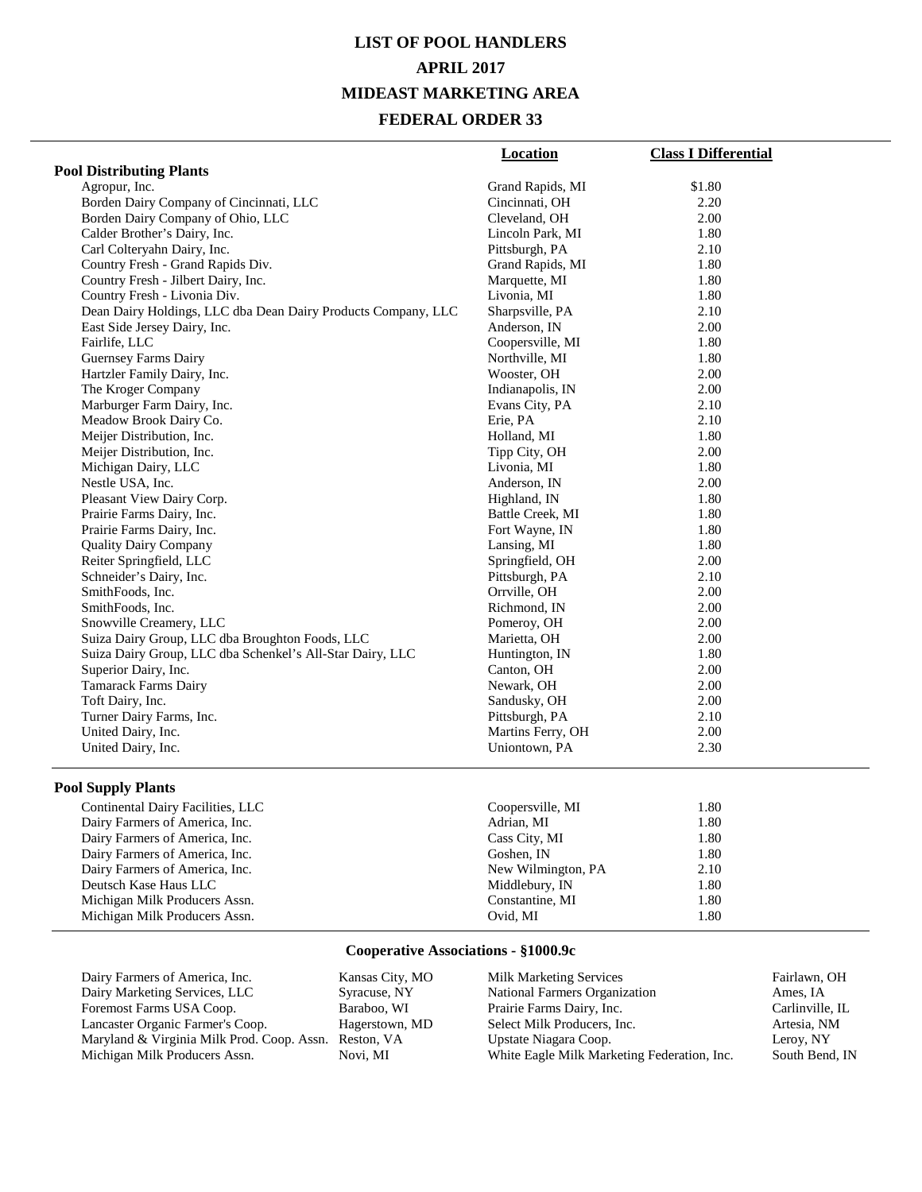# **LIST OF POOL HANDLERS APRIL 2017 MIDEAST MARKETING AREA FEDERAL ORDER 33**

|                                                               | Location           | <b>Class I Differential</b> |
|---------------------------------------------------------------|--------------------|-----------------------------|
| <b>Pool Distributing Plants</b>                               |                    |                             |
| Agropur, Inc.                                                 | Grand Rapids, MI   | \$1.80                      |
| Borden Dairy Company of Cincinnati, LLC                       | Cincinnati, OH     | 2.20                        |
| Borden Dairy Company of Ohio, LLC                             | Cleveland, OH      | 2.00                        |
| Calder Brother's Dairy, Inc.                                  | Lincoln Park, MI   | 1.80                        |
| Carl Colteryahn Dairy, Inc.                                   | Pittsburgh, PA     | 2.10                        |
| Country Fresh - Grand Rapids Div.                             | Grand Rapids, MI   | 1.80                        |
| Country Fresh - Jilbert Dairy, Inc.                           | Marquette, MI      | 1.80                        |
| Country Fresh - Livonia Div.                                  | Livonia, MI        | 1.80                        |
| Dean Dairy Holdings, LLC dba Dean Dairy Products Company, LLC | Sharpsville, PA    | 2.10                        |
| East Side Jersey Dairy, Inc.                                  | Anderson, IN       | 2.00                        |
| Fairlife, LLC                                                 | Coopersville, MI   | 1.80                        |
| Guernsey Farms Dairy                                          | Northville, MI     | 1.80                        |
| Hartzler Family Dairy, Inc.                                   | Wooster, OH        | 2.00                        |
| The Kroger Company                                            | Indianapolis, IN   | 2.00                        |
| Marburger Farm Dairy, Inc.                                    | Evans City, PA     | 2.10                        |
| Meadow Brook Dairy Co.                                        | Erie, PA           | 2.10                        |
| Meijer Distribution, Inc.                                     | Holland, MI        | 1.80                        |
| Meijer Distribution, Inc.                                     | Tipp City, OH      | 2.00                        |
| Michigan Dairy, LLC                                           | Livonia, MI        | 1.80                        |
| Nestle USA, Inc.                                              | Anderson, IN       | 2.00                        |
| Pleasant View Dairy Corp.                                     | Highland, IN       | 1.80                        |
| Prairie Farms Dairy, Inc.                                     | Battle Creek, MI   | 1.80                        |
| Prairie Farms Dairy, Inc.                                     | Fort Wayne, IN     | 1.80                        |
| <b>Quality Dairy Company</b>                                  | Lansing, MI        | 1.80                        |
| Reiter Springfield, LLC                                       | Springfield, OH    | 2.00                        |
| Schneider's Dairy, Inc.                                       | Pittsburgh, PA     | 2.10                        |
| SmithFoods, Inc.                                              | Orrville, OH       | 2.00                        |
| SmithFoods, Inc.                                              | Richmond, IN       | 2.00                        |
| Snowville Creamery, LLC                                       | Pomeroy, OH        | 2.00                        |
| Suiza Dairy Group, LLC dba Broughton Foods, LLC               | Marietta, OH       | 2.00                        |
| Suiza Dairy Group, LLC dba Schenkel's All-Star Dairy, LLC     | Huntington, IN     | 1.80                        |
| Superior Dairy, Inc.                                          | Canton, OH         | 2.00                        |
| <b>Tamarack Farms Dairy</b>                                   | Newark, OH         | 2.00                        |
| Toft Dairy, Inc.                                              | Sandusky, OH       | 2.00                        |
| Turner Dairy Farms, Inc.                                      | Pittsburgh, PA     | 2.10                        |
| United Dairy, Inc.                                            | Martins Ferry, OH  | 2.00                        |
| United Dairy, Inc.                                            | Uniontown, PA      | 2.30                        |
| <b>Pool Supply Plants</b>                                     |                    |                             |
| Continental Dairy Facilities, LLC                             | Coopersville, MI   | 1.80                        |
| Dairy Farmers of America, Inc.                                | Adrian, MI         | 1.80                        |
| Dairy Farmers of America, Inc.                                | Cass City, MI      | 1.80                        |
| Dairy Farmers of America, Inc.                                | Goshen, IN         | 1.80                        |
| Dairy Farmers of America, Inc.                                | New Wilmington, PA | 2.10                        |
| Deutsch Kase Haus LLC                                         | Middlebury, IN     | 1.80                        |
| Michigan Milk Producers Assn.                                 | Constantine, MI    | 1.80                        |
| Michigan Milk Producers Assn.                                 | Ovid, MI           | 1.80                        |

#### **Cooperative Associations - §1000.9c**

Michigan Milk Producers Assn. 00xid, MI 1.80

| Dairy Farmers of America, Inc.             | Kansas City, MO | <b>Milk Marketing Services</b>              | Fairlawn, OH    |
|--------------------------------------------|-----------------|---------------------------------------------|-----------------|
| Dairy Marketing Services, LLC              | Syracuse, NY    | National Farmers Organization               | Ames. IA        |
| Foremost Farms USA Coop.                   | Baraboo, WI     | Prairie Farms Dairy, Inc.                   | Carlinville, IL |
| Lancaster Organic Farmer's Coop.           | Hagerstown, MD  | Select Milk Producers, Inc.                 | Artesia, NM     |
| Maryland & Virginia Milk Prod. Coop. Assn. | Reston, VA      | Upstate Niagara Coop.                       | Lerov. NY       |
| Michigan Milk Producers Assn.              | Novi. MI        | White Eagle Milk Marketing Federation, Inc. | South Bend, IN  |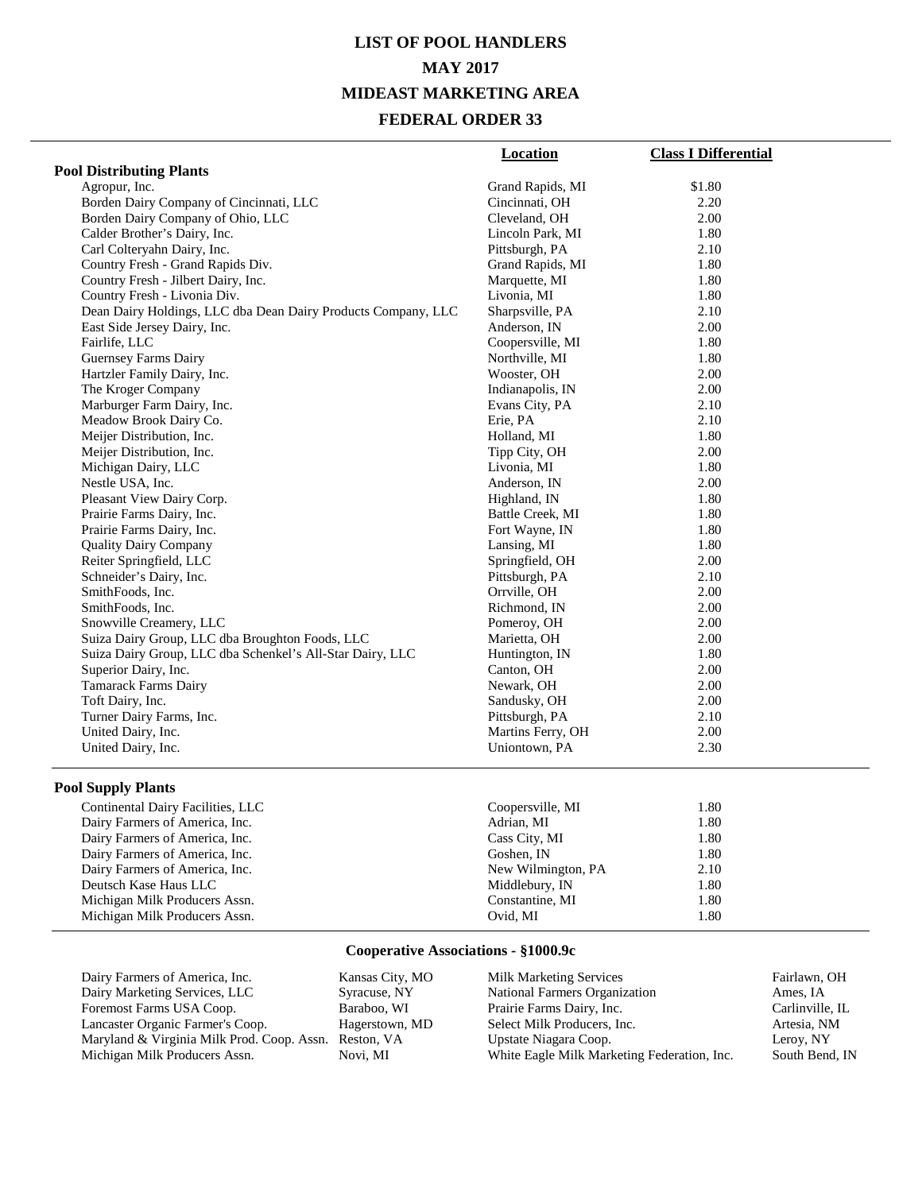# **LIST OF POOL HANDLERS MAY 2017 MIDEAST MARKETING AREA FEDERAL ORDER 33**

|                                                               | <b>Location</b>    | <b>Class I Differential</b> |
|---------------------------------------------------------------|--------------------|-----------------------------|
| <b>Pool Distributing Plants</b>                               |                    |                             |
| Agropur, Inc.                                                 | Grand Rapids, MI   | \$1.80                      |
| Borden Dairy Company of Cincinnati, LLC                       | Cincinnati, OH     | 2.20                        |
| Borden Dairy Company of Ohio, LLC                             | Cleveland, OH      | 2.00                        |
| Calder Brother's Dairy, Inc.                                  | Lincoln Park, MI   | 1.80                        |
| Carl Colteryahn Dairy, Inc.                                   | Pittsburgh, PA     | 2.10                        |
| Country Fresh - Grand Rapids Div.                             | Grand Rapids, MI   | 1.80                        |
| Country Fresh - Jilbert Dairy, Inc.                           | Marquette, MI      | 1.80                        |
| Country Fresh - Livonia Div.                                  | Livonia, MI        | 1.80                        |
| Dean Dairy Holdings, LLC dba Dean Dairy Products Company, LLC | Sharpsville, PA    | 2.10                        |
| East Side Jersey Dairy, Inc.                                  | Anderson, IN       | 2.00                        |
| Fairlife, LLC                                                 | Coopersville, MI   | 1.80                        |
| Guernsey Farms Dairy                                          | Northville, MI     | 1.80                        |
| Hartzler Family Dairy, Inc.                                   | Wooster, OH        | 2.00                        |
| The Kroger Company                                            | Indianapolis, IN   | 2.00                        |
| Marburger Farm Dairy, Inc.                                    | Evans City, PA     | 2.10                        |
| Meadow Brook Dairy Co.                                        | Erie, PA           | 2.10                        |
| Meijer Distribution, Inc.                                     | Holland, MI        | 1.80                        |
| Meijer Distribution, Inc.                                     | Tipp City, OH      | 2.00                        |
| Michigan Dairy, LLC                                           | Livonia, MI        | 1.80                        |
| Nestle USA, Inc.                                              | Anderson, IN       | 2.00                        |
| Pleasant View Dairy Corp.                                     | Highland, IN       | 1.80                        |
| Prairie Farms Dairy, Inc.                                     | Battle Creek, MI   | 1.80                        |
| Prairie Farms Dairy, Inc.                                     | Fort Wayne, IN     | 1.80                        |
| <b>Quality Dairy Company</b>                                  | Lansing, MI        | 1.80                        |
| Reiter Springfield, LLC                                       | Springfield, OH    | 2.00                        |
| Schneider's Dairy, Inc.                                       | Pittsburgh, PA     | 2.10                        |
| SmithFoods, Inc.                                              | Orrville, OH       | 2.00                        |
| SmithFoods, Inc.                                              | Richmond, IN       | 2.00                        |
| Snowville Creamery, LLC                                       | Pomeroy, OH        | 2.00                        |
| Suiza Dairy Group, LLC dba Broughton Foods, LLC               | Marietta, OH       | 2.00                        |
| Suiza Dairy Group, LLC dba Schenkel's All-Star Dairy, LLC     | Huntington, IN     | 1.80                        |
| Superior Dairy, Inc.                                          | Canton, OH         | 2.00                        |
| <b>Tamarack Farms Dairy</b>                                   | Newark, OH         | 2.00                        |
| Toft Dairy, Inc.                                              | Sandusky, OH       | 2.00                        |
| Turner Dairy Farms, Inc.                                      | Pittsburgh, PA     | 2.10                        |
| United Dairy, Inc.                                            | Martins Ferry, OH  | 2.00                        |
| United Dairy, Inc.                                            | Uniontown, PA      | 2.30                        |
| <b>Pool Supply Plants</b>                                     |                    |                             |
| Continental Dairy Facilities, LLC                             | Coopersville, MI   | 1.80                        |
| Dairy Farmers of America, Inc.                                | Adrian, MI         | 1.80                        |
| Dairy Farmers of America, Inc.                                | Cass City, MI      | 1.80                        |
| Dairy Farmers of America, Inc.                                | Goshen, IN         | 1.80                        |
| Dairy Farmers of America, Inc.                                | New Wilmington, PA | 2.10                        |

# **Cooperative Associations - §1000.9c**

Deutsch Kase Haus LLC Middlebury, IN 1.80 Michigan Milk Producers Assn. Constantine, MI 1.80<br>Michigan Milk Producers Assn. 2007 1.80<br>1.80 Michigan Milk Producers Assn. 00xid, MI 1.80

Dairy Farmers of America, Inc.<br>
Deutsch Kase Haus LLC<br>
Middlebury, IN

| Dairy Farmers of America, Inc.             | Kansas City, MO | <b>Milk Marketing Services</b>              | Fairlawn, OH    |
|--------------------------------------------|-----------------|---------------------------------------------|-----------------|
| Dairy Marketing Services, LLC              | Syracuse, NY    | National Farmers Organization               | Ames, IA        |
| Foremost Farms USA Coop.                   | Baraboo, WI     | Prairie Farms Dairy, Inc.                   | Carlinville, IL |
| Lancaster Organic Farmer's Coop.           | Hagerstown, MD  | Select Milk Producers, Inc.                 | Artesia, NM     |
| Maryland & Virginia Milk Prod. Coop. Assn. | Reston, VA      | Upstate Niagara Coop.                       | Leroy, NY       |
| Michigan Milk Producers Assn.              | Novi. MI        | White Eagle Milk Marketing Federation, Inc. | South Bend, IN  |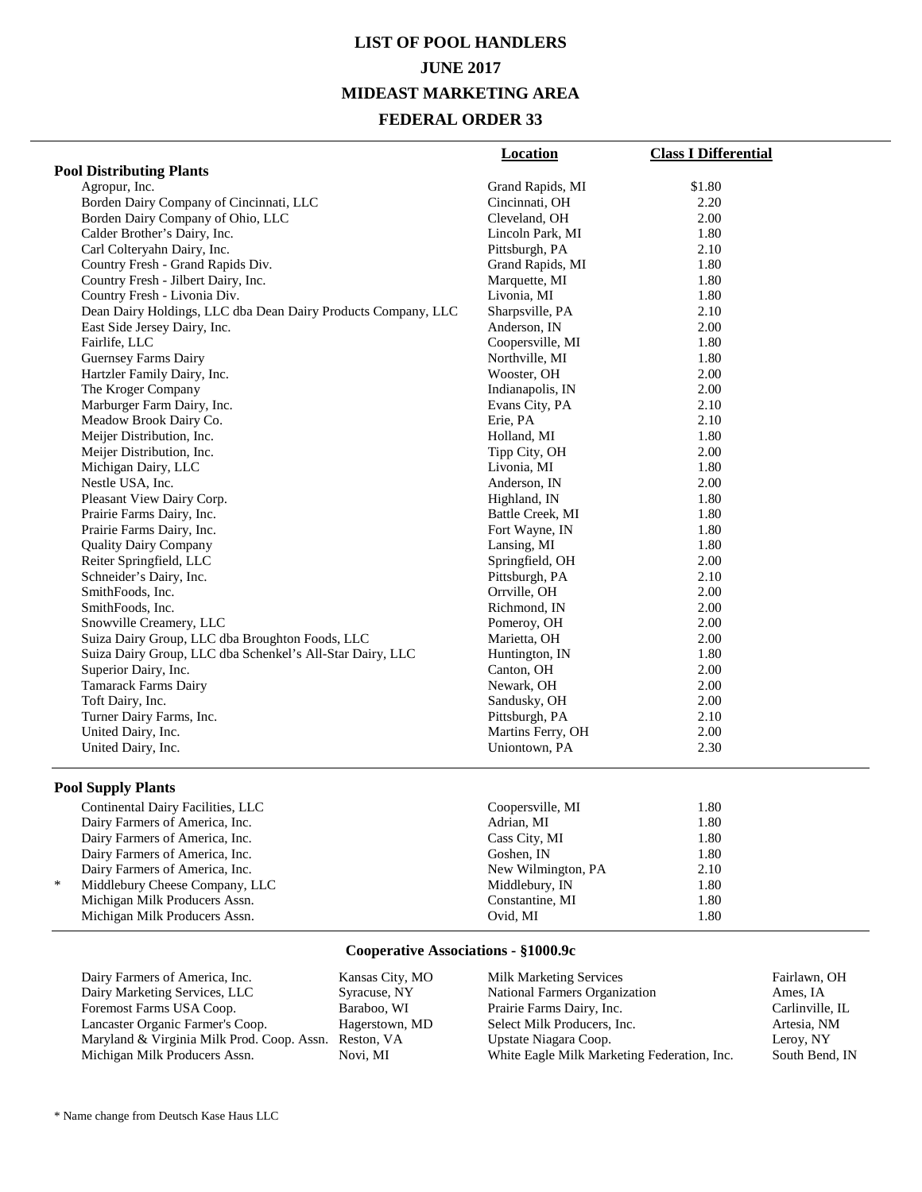# **LIST OF POOL HANDLERS JUNE 2017 MIDEAST MARKETING AREA FEDERAL ORDER 33**

|                                                               | <b>Location</b>    | <b>Class I Differential</b> |
|---------------------------------------------------------------|--------------------|-----------------------------|
| <b>Pool Distributing Plants</b>                               |                    |                             |
| Agropur, Inc.                                                 | Grand Rapids, MI   | \$1.80                      |
| Borden Dairy Company of Cincinnati, LLC                       | Cincinnati, OH     | 2.20                        |
| Borden Dairy Company of Ohio, LLC                             | Cleveland, OH      | 2.00                        |
| Calder Brother's Dairy, Inc.                                  | Lincoln Park, MI   | 1.80                        |
| Carl Colteryahn Dairy, Inc.                                   | Pittsburgh, PA     | 2.10                        |
| Country Fresh - Grand Rapids Div.                             | Grand Rapids, MI   | 1.80                        |
| Country Fresh - Jilbert Dairy, Inc.                           | Marquette, MI      | 1.80                        |
| Country Fresh - Livonia Div.                                  | Livonia, MI        | 1.80                        |
| Dean Dairy Holdings, LLC dba Dean Dairy Products Company, LLC | Sharpsville, PA    | 2.10                        |
| East Side Jersey Dairy, Inc.                                  | Anderson, IN       | 2.00                        |
| Fairlife, LLC                                                 | Coopersville, MI   | 1.80                        |
| Guernsey Farms Dairy                                          | Northville, MI     | 1.80                        |
| Hartzler Family Dairy, Inc.                                   | Wooster, OH        | 2.00                        |
| The Kroger Company                                            | Indianapolis, IN   | 2.00                        |
| Marburger Farm Dairy, Inc.                                    | Evans City, PA     | 2.10                        |
| Meadow Brook Dairy Co.                                        | Erie, PA           | 2.10                        |
| Meijer Distribution, Inc.                                     | Holland, MI        | 1.80                        |
| Meijer Distribution, Inc.                                     | Tipp City, OH      | 2.00                        |
| Michigan Dairy, LLC                                           | Livonia, MI        | 1.80                        |
| Nestle USA, Inc.                                              | Anderson, IN       | 2.00                        |
| Pleasant View Dairy Corp.                                     | Highland, IN       | 1.80                        |
| Prairie Farms Dairy, Inc.                                     | Battle Creek, MI   | 1.80                        |
| Prairie Farms Dairy, Inc.                                     | Fort Wayne, IN     | 1.80                        |
| <b>Quality Dairy Company</b>                                  | Lansing, MI        | 1.80                        |
| Reiter Springfield, LLC                                       | Springfield, OH    | 2.00                        |
| Schneider's Dairy, Inc.                                       | Pittsburgh, PA     | 2.10                        |
| SmithFoods, Inc.                                              | Orrville, OH       | 2.00                        |
| SmithFoods, Inc.                                              | Richmond, IN       | 2.00                        |
| Snowville Creamery, LLC                                       | Pomeroy, OH        | 2.00                        |
| Suiza Dairy Group, LLC dba Broughton Foods, LLC               | Marietta, OH       | 2.00                        |
| Suiza Dairy Group, LLC dba Schenkel's All-Star Dairy, LLC     | Huntington, IN     | 1.80                        |
| Superior Dairy, Inc.                                          | Canton, OH         | 2.00                        |
| <b>Tamarack Farms Dairy</b>                                   | Newark, OH         | 2.00                        |
| Toft Dairy, Inc.                                              | Sandusky, OH       | 2.00                        |
| Turner Dairy Farms, Inc.                                      | Pittsburgh, PA     | 2.10                        |
| United Dairy, Inc.                                            | Martins Ferry, OH  | 2.00                        |
| United Dairy, Inc.                                            | Uniontown, PA      | 2.30                        |
| <b>Pool Supply Plants</b>                                     |                    |                             |
| Continental Dairy Facilities, LLC                             | Coopersville, MI   | 1.80                        |
| Dairy Farmers of America, Inc.                                | Adrian, MI         | 1.80                        |
|                                                               |                    | 1.80                        |
| Dairy Farmers of America, Inc.                                | Cass City, MI      |                             |
| Dairy Farmers of America, Inc.                                | Goshen, IN         | 1.80                        |
| Dairy Farmers of America, Inc.<br>$\ast$                      | New Wilmington, PA | 2.10                        |
| Middlebury Cheese Company, LLC                                | Middlebury, IN     | 1.80                        |

#### **Cooperative Associations - §1000.9c**

Michigan Milk Producers Assn. Constantine, MI 1.80<br>Michigan Milk Producers Assn. 2007 1.80<br>Constantine, MI 1.80 Michigan Milk Producers Assn. 00xid, MI 1.80

| Dairy Farmers of America, Inc.             | Kansas City, MO | <b>Milk Marketing Services</b>              | Fairlawn, OH    |
|--------------------------------------------|-----------------|---------------------------------------------|-----------------|
| Dairy Marketing Services, LLC              | Syracuse, NY    | National Farmers Organization               | Ames. IA        |
| Foremost Farms USA Coop.                   | Baraboo, WI     | Prairie Farms Dairy, Inc.                   | Carlinville, IL |
| Lancaster Organic Farmer's Coop.           | Hagerstown, MD  | Select Milk Producers, Inc.                 | Artesia. NM     |
| Maryland & Virginia Milk Prod. Coop. Assn. | Reston, VA      | Upstate Niagara Coop.                       | Leroy, NY       |
| Michigan Milk Producers Assn.              | Novi. MI        | White Eagle Milk Marketing Federation, Inc. | South Bend, IN  |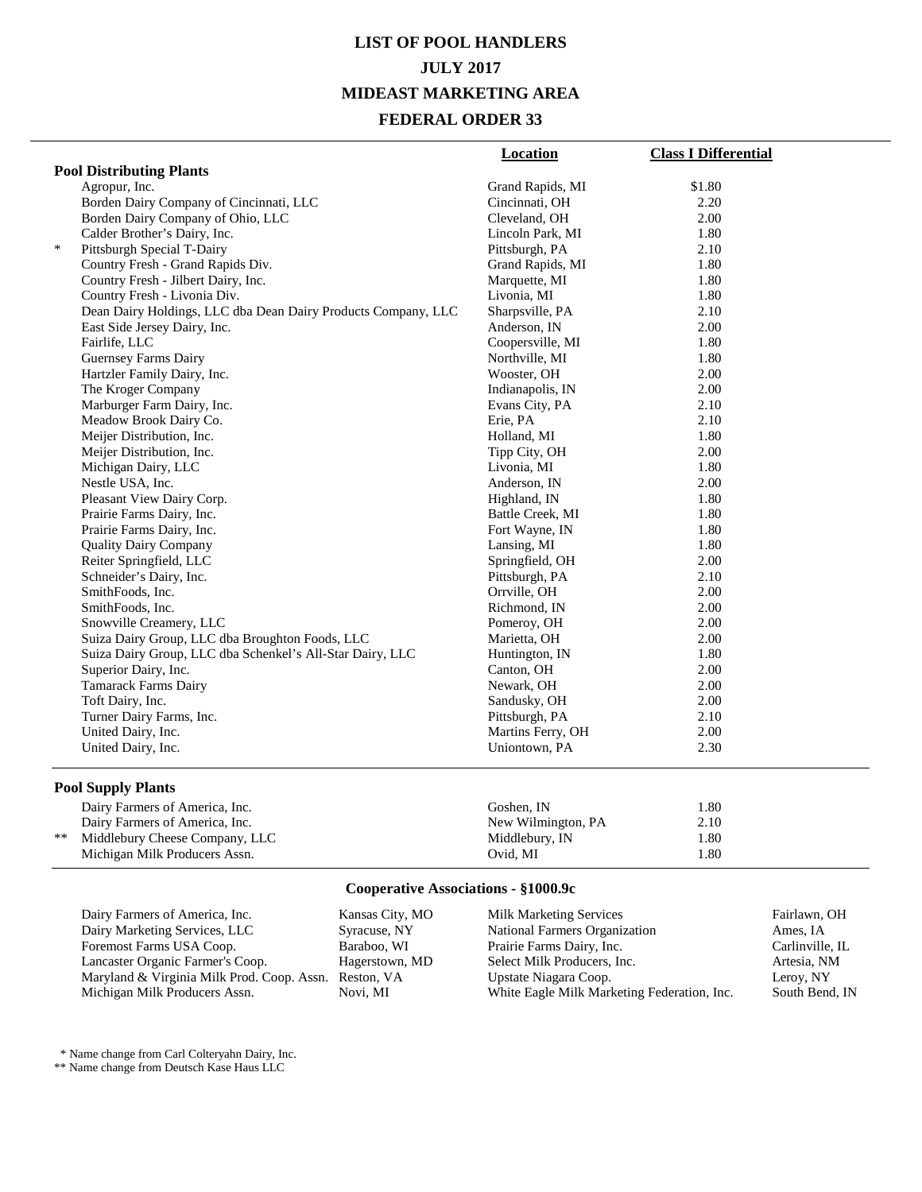# **LIST OF POOL HANDLERS JULY 2017 MIDEAST MARKETING AREA FEDERAL ORDER 33**

|        |                                                               | <b>Location</b>   | <b>Class I Differential</b> |
|--------|---------------------------------------------------------------|-------------------|-----------------------------|
|        | <b>Pool Distributing Plants</b>                               |                   |                             |
|        | Agropur, Inc.                                                 | Grand Rapids, MI  | \$1.80                      |
|        | Borden Dairy Company of Cincinnati, LLC                       | Cincinnati, OH    | 2.20                        |
|        | Borden Dairy Company of Ohio, LLC                             | Cleveland, OH     | 2.00                        |
|        | Calder Brother's Dairy, Inc.                                  | Lincoln Park, MI  | 1.80                        |
| $\ast$ | Pittsburgh Special T-Dairy                                    | Pittsburgh, PA    | 2.10                        |
|        | Country Fresh - Grand Rapids Div.                             | Grand Rapids, MI  | 1.80                        |
|        | Country Fresh - Jilbert Dairy, Inc.                           | Marquette, MI     | 1.80                        |
|        | Country Fresh - Livonia Div.                                  | Livonia, MI       | 1.80                        |
|        | Dean Dairy Holdings, LLC dba Dean Dairy Products Company, LLC | Sharpsville, PA   | 2.10                        |
|        | East Side Jersey Dairy, Inc.                                  | Anderson, IN      | 2.00                        |
|        | Fairlife, LLC                                                 | Coopersville, MI  | 1.80                        |
|        | Guernsey Farms Dairy                                          | Northville, MI    | 1.80                        |
|        | Hartzler Family Dairy, Inc.                                   | Wooster, OH       | 2.00                        |
|        | The Kroger Company                                            | Indianapolis, IN  | 2.00                        |
|        | Marburger Farm Dairy, Inc.                                    | Evans City, PA    | 2.10                        |
|        | Meadow Brook Dairy Co.                                        | Erie, PA          | 2.10                        |
|        | Meijer Distribution, Inc.                                     | Holland, MI       | 1.80                        |
|        | Meijer Distribution, Inc.                                     | Tipp City, OH     | 2.00                        |
|        | Michigan Dairy, LLC                                           | Livonia, MI       | 1.80                        |
|        | Nestle USA, Inc.                                              | Anderson, IN      | 2.00                        |
|        | Pleasant View Dairy Corp.                                     | Highland, IN      | 1.80                        |
|        | Prairie Farms Dairy, Inc.                                     | Battle Creek, MI  | 1.80                        |
|        | Prairie Farms Dairy, Inc.                                     | Fort Wayne, IN    | 1.80                        |
|        | <b>Quality Dairy Company</b>                                  | Lansing, MI       | 1.80                        |
|        | Reiter Springfield, LLC                                       | Springfield, OH   | 2.00                        |
|        | Schneider's Dairy, Inc.                                       | Pittsburgh, PA    | 2.10                        |
|        | SmithFoods, Inc.                                              | Orrville, OH      | 2.00                        |
|        | SmithFoods, Inc.                                              | Richmond, IN      | 2.00                        |
|        | Snowville Creamery, LLC                                       | Pomeroy, OH       | 2.00                        |
|        | Suiza Dairy Group, LLC dba Broughton Foods, LLC               | Marietta, OH      | 2.00                        |
|        | Suiza Dairy Group, LLC dba Schenkel's All-Star Dairy, LLC     | Huntington, IN    | 1.80                        |
|        | Superior Dairy, Inc.                                          | Canton, OH        | 2.00                        |
|        | <b>Tamarack Farms Dairy</b>                                   | Newark, OH        | 2.00                        |
|        | Toft Dairy, Inc.                                              | Sandusky, OH      | 2.00                        |
|        | Turner Dairy Farms, Inc.                                      | Pittsburgh, PA    | 2.10                        |
|        | United Dairy, Inc.                                            | Martins Ferry, OH | 2.00                        |
|        | United Dairy, Inc.                                            | Uniontown, PA     | 2.30                        |

#### **Pool Supply Plants**

|      | Dairy Farmers of America, Inc. | Goshen. IN         | l.80 |
|------|--------------------------------|--------------------|------|
|      | Dairy Farmers of America, Inc. | New Wilmington, PA | 2.10 |
| $**$ | Middlebury Cheese Company, LLC | Middlebury, IN     | 1.80 |
|      | Michigan Milk Producers Assn.  | Ovid. MI           | l.80 |

### **Cooperative Associations - §1000.9c**

| Dairy Farmers of America, Inc.             | Kansas City, MO | <b>Milk Marketing Services</b>              | Fairlawn, OH    |
|--------------------------------------------|-----------------|---------------------------------------------|-----------------|
| Dairy Marketing Services, LLC              | Syracuse, NY    | National Farmers Organization               | Ames. IA        |
| Foremost Farms USA Coop.                   | Baraboo, WI     | Prairie Farms Dairy, Inc.                   | Carlinville, IL |
| Lancaster Organic Farmer's Coop.           | Hagerstown, MD  | Select Milk Producers, Inc.                 | Artesia. NM     |
| Maryland & Virginia Milk Prod. Coop. Assn. | Reston, VA      | Upstate Niagara Coop.                       | Leroy, NY       |
| Michigan Milk Producers Assn.              | Novi. MI        | White Eagle Milk Marketing Federation, Inc. | South Bend, IN  |

\* Name change from Carl Colteryahn Dairy, Inc.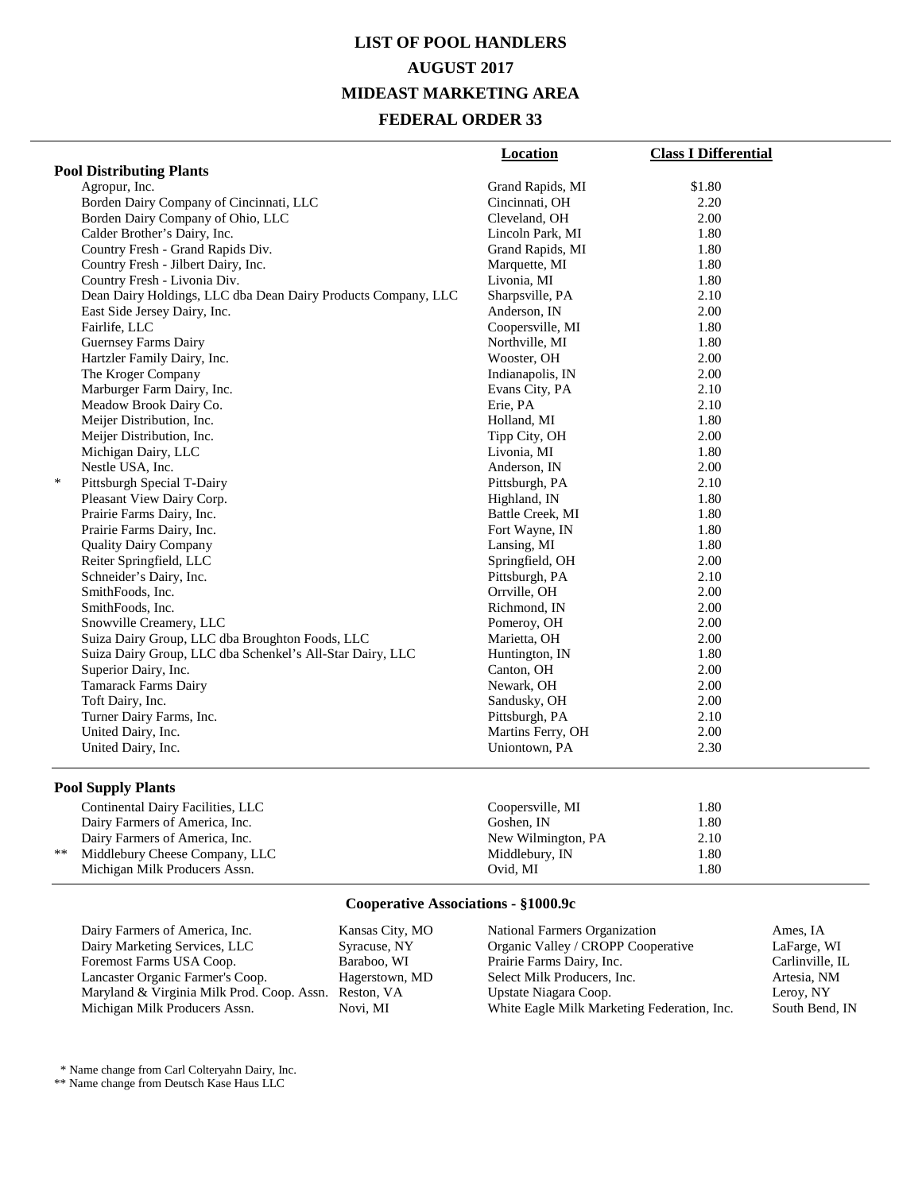# **LIST OF POOL HANDLERS AUGUST 2017 MIDEAST MARKETING AREA FEDERAL ORDER 33**

|                                                               | Location          | <b>Class I Differential</b> |
|---------------------------------------------------------------|-------------------|-----------------------------|
| <b>Pool Distributing Plants</b>                               |                   |                             |
| Agropur, Inc.                                                 | Grand Rapids, MI  | \$1.80                      |
| Borden Dairy Company of Cincinnati, LLC                       | Cincinnati, OH    | 2.20                        |
| Borden Dairy Company of Ohio, LLC                             | Cleveland, OH     | 2.00                        |
| Calder Brother's Dairy, Inc.                                  | Lincoln Park, MI  | 1.80                        |
| Country Fresh - Grand Rapids Div.                             | Grand Rapids, MI  | 1.80                        |
| Country Fresh - Jilbert Dairy, Inc.                           | Marquette, MI     | 1.80                        |
| Country Fresh - Livonia Div.                                  | Livonia, MI       | 1.80                        |
| Dean Dairy Holdings, LLC dba Dean Dairy Products Company, LLC | Sharpsville, PA   | 2.10                        |
| East Side Jersey Dairy, Inc.                                  | Anderson, IN      | 2.00                        |
| Fairlife, LLC                                                 | Coopersville, MI  | 1.80                        |
| <b>Guernsey Farms Dairy</b>                                   | Northville, MI    | 1.80                        |
| Hartzler Family Dairy, Inc.                                   | Wooster, OH       | 2.00                        |
| The Kroger Company                                            | Indianapolis, IN  | 2.00                        |
| Marburger Farm Dairy, Inc.                                    | Evans City, PA    | 2.10                        |
| Meadow Brook Dairy Co.                                        | Erie, PA          | 2.10                        |
| Meijer Distribution, Inc.                                     | Holland, MI       | 1.80                        |
| Meijer Distribution, Inc.                                     | Tipp City, OH     | 2.00                        |
| Michigan Dairy, LLC                                           | Livonia, MI       | 1.80                        |
| Nestle USA, Inc.                                              | Anderson, IN      | 2.00                        |
| $\ast$<br>Pittsburgh Special T-Dairy                          | Pittsburgh, PA    | 2.10                        |
| Pleasant View Dairy Corp.                                     | Highland, IN      | 1.80                        |
| Prairie Farms Dairy, Inc.                                     | Battle Creek, MI  | 1.80                        |
| Prairie Farms Dairy, Inc.                                     | Fort Wayne, IN    | 1.80                        |
| <b>Quality Dairy Company</b>                                  | Lansing, MI       | 1.80                        |
| Reiter Springfield, LLC                                       | Springfield, OH   | 2.00                        |
| Schneider's Dairy, Inc.                                       | Pittsburgh, PA    | 2.10                        |
| SmithFoods, Inc.                                              | Orrville, OH      | 2.00                        |
| SmithFoods, Inc.                                              | Richmond, IN      | 2.00                        |
| Snowville Creamery, LLC                                       | Pomeroy, OH       | 2.00                        |
| Suiza Dairy Group, LLC dba Broughton Foods, LLC               | Marietta, OH      | 2.00                        |
| Suiza Dairy Group, LLC dba Schenkel's All-Star Dairy, LLC     | Huntington, IN    | 1.80                        |
| Superior Dairy, Inc.                                          | Canton, OH        | 2.00                        |
| Tamarack Farms Dairy                                          | Newark, OH        | 2.00                        |
| Toft Dairy, Inc.                                              | Sandusky, OH      | 2.00                        |
| Turner Dairy Farms, Inc.                                      | Pittsburgh, PA    | 2.10                        |
| United Dairy, Inc.                                            | Martins Ferry, OH | 2.00                        |
| United Dairy, Inc.                                            | Uniontown, PA     | 2.30                        |

#### **Pool Supply Plants**

|    | Continental Dairy Facilities, LLC | Coopersville, MI   | 1.80 |
|----|-----------------------------------|--------------------|------|
|    | Dairy Farmers of America, Inc.    | Goshen. IN         | 1.80 |
|    | Dairy Farmers of America, Inc.    | New Wilmington, PA | 2.10 |
| ** | Middlebury Cheese Company, LLC    | Middlebury, IN     | 1.80 |
|    | Michigan Milk Producers Assn.     | Ovid. MI           | 1.80 |

### **Cooperative Associations - §1000.9c**

| Dairy Farmers of America, Inc.             |
|--------------------------------------------|
| Dairy Marketing Services, LLC              |
| Foremost Farms USA Coop.                   |
| Lancaster Organic Farmer's Coop.           |
| Maryland & Virginia Milk Prod. Coop. Assn. |
| Michigan Milk Producers Assn.              |

Kansas City, MO Syracuse, NY Baraboo, WI Hagerstown, MD Reston, VA Novi, MI

National Farmers Organization Ames, IA<br>
Organic Valley / CROPP Cooperative LaFarge, WI Organic Valley / CROPP Cooperative LaFarge, WI<br>Prairie Farms Dairy, Inc. Carlinville, IL Prairie Farms Dairy, Inc. Carlinville, I<br>Select Milk Producers, Inc. Artesia, NM Select Milk Producers, Inc. Artesia, NM<br>
Upstate Niagara Coop. Leroy, NY Upstate Niagara Coop.<br>
White Eagle Milk Marketing Federation, Inc. South Bend, IN White Eagle Milk Marketing Federation, Inc.

\* Name change from Carl Colteryahn Dairy, Inc.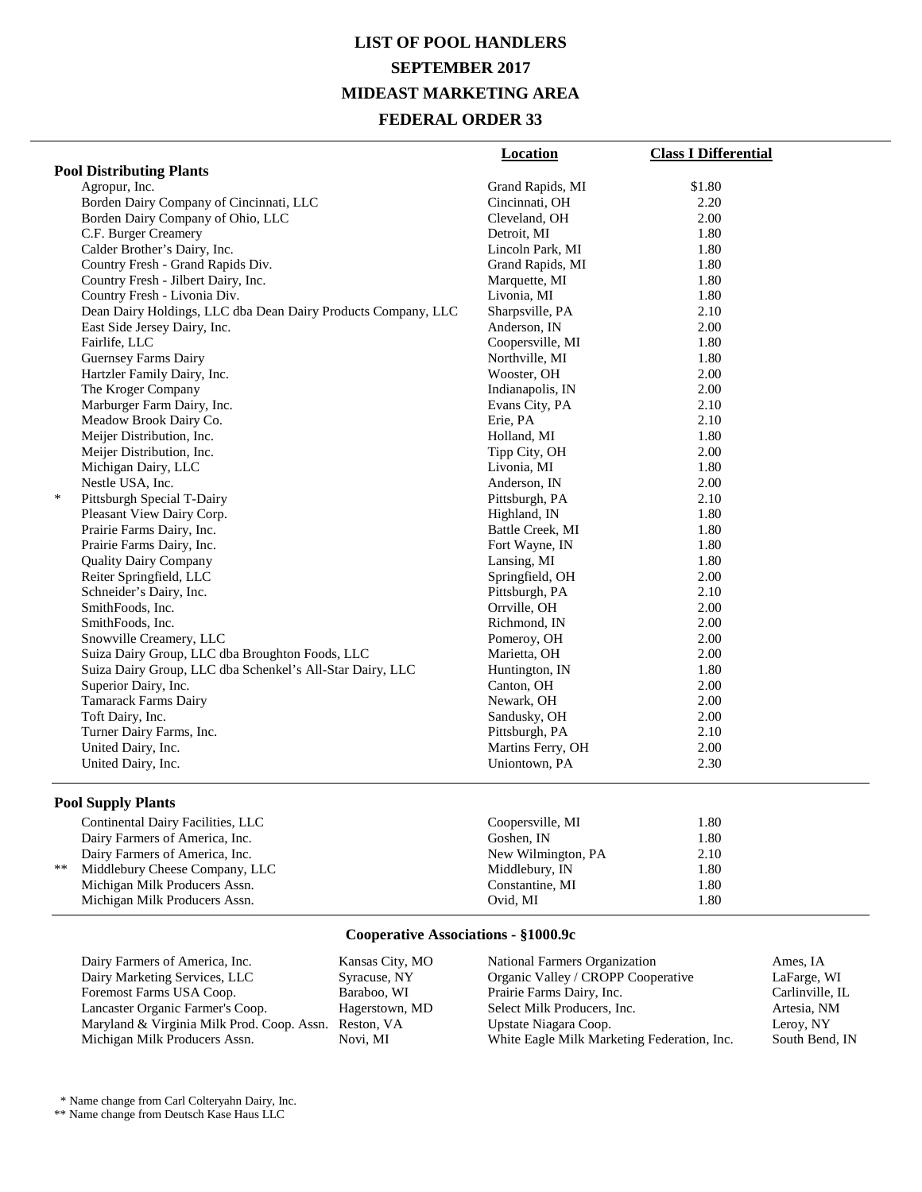# **LIST OF POOL HANDLERS SEPTEMBER 2017 MIDEAST MARKETING AREA FEDERAL ORDER 33**

|                                                               | <b>Location</b>   | <b>Class I Differential</b> |
|---------------------------------------------------------------|-------------------|-----------------------------|
| <b>Pool Distributing Plants</b>                               |                   |                             |
| Agropur, Inc.                                                 | Grand Rapids, MI  | \$1.80                      |
| Borden Dairy Company of Cincinnati, LLC                       | Cincinnati, OH    | 2.20                        |
| Borden Dairy Company of Ohio, LLC                             | Cleveland, OH     | 2.00                        |
| C.F. Burger Creamery                                          | Detroit, MI       | 1.80                        |
| Calder Brother's Dairy, Inc.                                  | Lincoln Park, MI  | 1.80                        |
| Country Fresh - Grand Rapids Div.                             | Grand Rapids, MI  | 1.80                        |
| Country Fresh - Jilbert Dairy, Inc.                           | Marquette, MI     | 1.80                        |
| Country Fresh - Livonia Div.                                  | Livonia, MI       | 1.80                        |
| Dean Dairy Holdings, LLC dba Dean Dairy Products Company, LLC | Sharpsville, PA   | 2.10                        |
| East Side Jersey Dairy, Inc.                                  | Anderson, IN      | 2.00                        |
| Fairlife, LLC                                                 | Coopersville, MI  | 1.80                        |
| Guernsey Farms Dairy                                          | Northville, MI    | 1.80                        |
| Hartzler Family Dairy, Inc.                                   | Wooster, OH       | 2.00                        |
| The Kroger Company                                            | Indianapolis, IN  | 2.00                        |
| Marburger Farm Dairy, Inc.                                    | Evans City, PA    | 2.10                        |
| Meadow Brook Dairy Co.                                        | Erie, PA          | 2.10                        |
| Meijer Distribution, Inc.                                     | Holland, MI       | 1.80                        |
| Meijer Distribution, Inc.                                     | Tipp City, OH     | 2.00                        |
| Michigan Dairy, LLC                                           | Livonia, MI       | 1.80                        |
| Nestle USA, Inc.                                              | Anderson, IN      | 2.00                        |
| $\ast$<br>Pittsburgh Special T-Dairy                          | Pittsburgh, PA    | 2.10                        |
| Pleasant View Dairy Corp.                                     | Highland, IN      | 1.80                        |
| Prairie Farms Dairy, Inc.                                     | Battle Creek, MI  | 1.80                        |
| Prairie Farms Dairy, Inc.                                     | Fort Wayne, IN    | 1.80                        |
| <b>Quality Dairy Company</b>                                  | Lansing, MI       | 1.80                        |
| Reiter Springfield, LLC                                       | Springfield, OH   | 2.00                        |
| Schneider's Dairy, Inc.                                       | Pittsburgh, PA    | 2.10                        |
| SmithFoods, Inc.                                              | Orrville, OH      | 2.00                        |
| SmithFoods, Inc.                                              | Richmond, IN      | 2.00                        |
| Snowville Creamery, LLC                                       | Pomeroy, OH       | 2.00                        |
| Suiza Dairy Group, LLC dba Broughton Foods, LLC               | Marietta, OH      | 2.00                        |
| Suiza Dairy Group, LLC dba Schenkel's All-Star Dairy, LLC     | Huntington, IN    | 1.80                        |
| Superior Dairy, Inc.                                          | Canton, OH        | 2.00                        |
| <b>Tamarack Farms Dairy</b>                                   | Newark, OH        | 2.00                        |
| Toft Dairy, Inc.                                              | Sandusky, OH      | 2.00                        |
| Turner Dairy Farms, Inc.                                      | Pittsburgh, PA    | 2.10                        |
| United Dairy, Inc.                                            | Martins Ferry, OH | 2.00                        |
| United Dairy, Inc.                                            | Uniontown, PA     | 2.30                        |
| <b>Pool Supply Plants</b>                                     |                   |                             |
| Continental Dairy Facilities, LLC                             | Coopersville, MI  | 1.80                        |

|       | $\epsilon$ continuation $\epsilon$ and $\epsilon$ are equal to $\epsilon$ . | COOPOID VILLO, IVIL | vv   |
|-------|-----------------------------------------------------------------------------|---------------------|------|
|       | Dairy Farmers of America, Inc.                                              | Goshen. IN          | 1.80 |
|       | Dairy Farmers of America, Inc.                                              | New Wilmington, PA  | 2.10 |
| $***$ | Middlebury Cheese Company, LLC                                              | Middlebury, IN      | 1.80 |
|       | Michigan Milk Producers Assn.                                               | Constantine, MI     | 1.80 |
|       | Michigan Milk Producers Assn.                                               | Ovid. MI            | 1.80 |
|       |                                                                             |                     |      |

### **Cooperative Associations - §1000.9c**

| Dairy Farmers of America, Inc.                        | Kansas City, MO | Na          |
|-------------------------------------------------------|-----------------|-------------|
| Dairy Marketing Services, LLC                         | Syracuse, NY    | Or          |
| Foremost Farms USA Coop.                              | Baraboo, WI     | Pra         |
| Lancaster Organic Farmer's Coop.                      | Hagerstown, MD  | <b>Se</b>   |
| Maryland & Virginia Milk Prod. Coop. Assn. Reston, VA |                 | $_{\rm Up}$ |
| Michigan Milk Producers Assn.                         | Novi. MI        | Wl          |
|                                                       |                 |             |

National Farmers Organization Ames, IA Organic Valley / CROPP Cooperative LaFarge, WI Prairie Farms Dairy, Inc.<br>
lect Milk Producers, Inc. (2008) Artesia, NM Pet Milk Producers, Inc. Artesia, N. Artesia, N. Artesia, N. Artesia, N. Artesia, N. Artesia, N. Artesia, N. A State Niagara Coop.<br>hite Eagle Milk Marketing Federation, Inc. South Bend, IN hite Eagle Milk Marketing Federation, Inc.

\* Name change from Carl Colteryahn Dairy, Inc.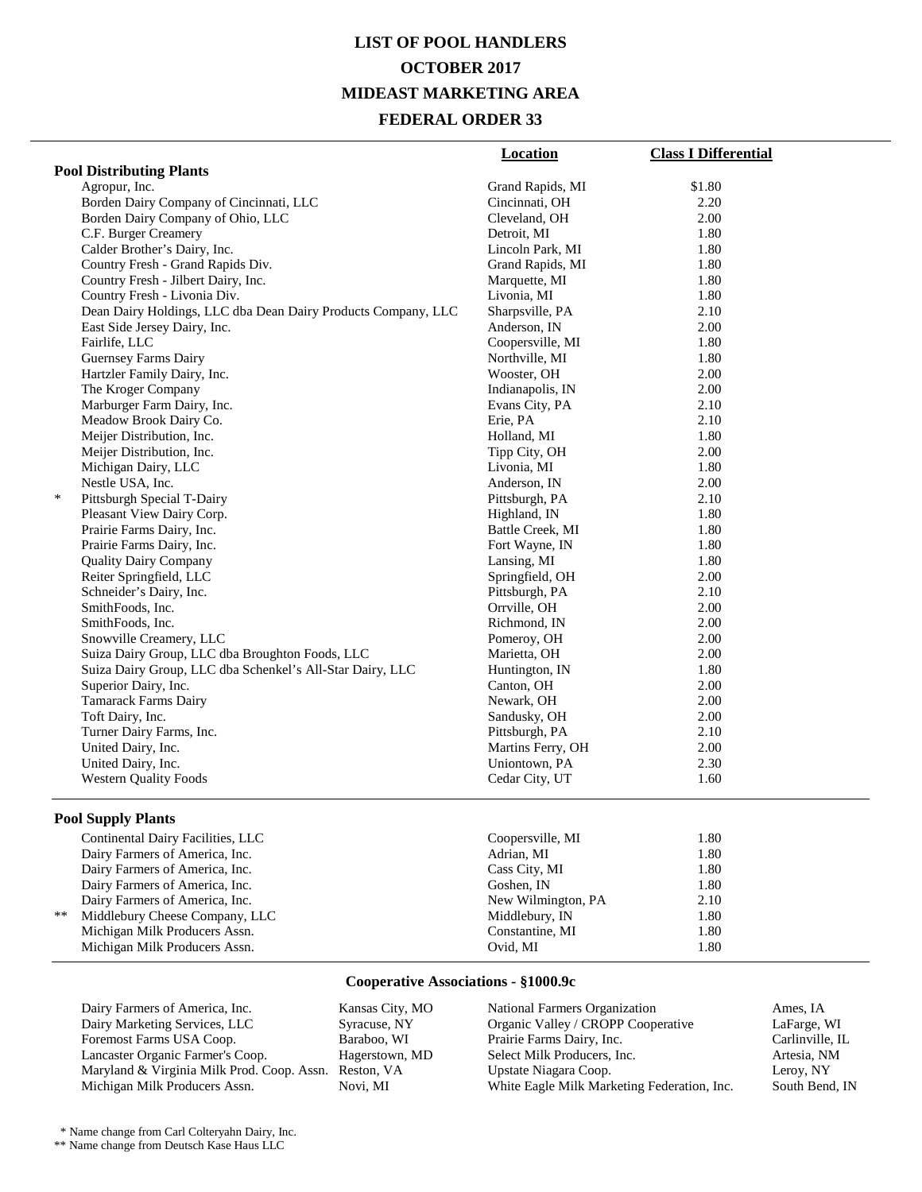### **LIST OF POOL HANDLERS OCTOBER 2017 MIDEAST MARKETING AREA FEDERAL ORDER 33**

|                                                               | <b>Location</b>   | <b>Class I Differential</b> |  |  |
|---------------------------------------------------------------|-------------------|-----------------------------|--|--|
| <b>Pool Distributing Plants</b>                               |                   |                             |  |  |
| Agropur, Inc.                                                 | Grand Rapids, MI  | \$1.80                      |  |  |
| Borden Dairy Company of Cincinnati, LLC                       | Cincinnati, OH    | 2.20                        |  |  |
| Borden Dairy Company of Ohio, LLC                             | Cleveland, OH     | 2.00                        |  |  |
| C.F. Burger Creamery                                          | Detroit, MI       | 1.80                        |  |  |
| Calder Brother's Dairy, Inc.                                  | Lincoln Park, MI  | 1.80                        |  |  |
| Country Fresh - Grand Rapids Div.                             | Grand Rapids, MI  | 1.80                        |  |  |
| Country Fresh - Jilbert Dairy, Inc.                           | Marquette, MI     | 1.80                        |  |  |
| Country Fresh - Livonia Div.                                  | Livonia, MI       | 1.80                        |  |  |
| Dean Dairy Holdings, LLC dba Dean Dairy Products Company, LLC | Sharpsville, PA   | 2.10                        |  |  |
| East Side Jersey Dairy, Inc.                                  | Anderson, IN      | 2.00                        |  |  |
| Fairlife, LLC                                                 | Coopersville, MI  | 1.80                        |  |  |
| <b>Guernsey Farms Dairy</b>                                   | Northville, MI    | 1.80                        |  |  |
| Hartzler Family Dairy, Inc.                                   | Wooster, OH       | 2.00                        |  |  |
| The Kroger Company                                            | Indianapolis, IN  | 2.00                        |  |  |
| Marburger Farm Dairy, Inc.                                    | Evans City, PA    | 2.10                        |  |  |
| Meadow Brook Dairy Co.                                        | Erie, PA          | 2.10                        |  |  |
| Meijer Distribution, Inc.                                     | Holland, MI       | 1.80                        |  |  |
| Meijer Distribution, Inc.                                     | Tipp City, OH     | 2.00                        |  |  |
| Michigan Dairy, LLC                                           | Livonia, MI       | 1.80                        |  |  |
| Nestle USA, Inc.                                              | Anderson, IN      | 2.00                        |  |  |
| $\ast$<br>Pittsburgh Special T-Dairy                          | Pittsburgh, PA    | 2.10                        |  |  |
| Pleasant View Dairy Corp.                                     | Highland, IN      | 1.80                        |  |  |
| Prairie Farms Dairy, Inc.                                     | Battle Creek, MI  | 1.80                        |  |  |
| Prairie Farms Dairy, Inc.                                     | Fort Wayne, IN    | 1.80                        |  |  |
| <b>Quality Dairy Company</b>                                  | Lansing, MI       | 1.80                        |  |  |
| Reiter Springfield, LLC                                       | Springfield, OH   | 2.00                        |  |  |
| Schneider's Dairy, Inc.                                       | Pittsburgh, PA    | 2.10                        |  |  |
| SmithFoods, Inc.                                              | Orrville, OH      | 2.00                        |  |  |
| SmithFoods, Inc.                                              | Richmond, IN      | 2.00                        |  |  |
| Snowville Creamery, LLC                                       | Pomeroy, OH       | 2.00                        |  |  |
| Suiza Dairy Group, LLC dba Broughton Foods, LLC               | Marietta, OH      | 2.00                        |  |  |
| Suiza Dairy Group, LLC dba Schenkel's All-Star Dairy, LLC     | Huntington, IN    | 1.80                        |  |  |
| Superior Dairy, Inc.                                          | Canton, OH        | 2.00                        |  |  |
| <b>Tamarack Farms Dairy</b>                                   | Newark, OH        | 2.00                        |  |  |
| Toft Dairy, Inc.                                              | Sandusky, OH      | 2.00                        |  |  |
| Turner Dairy Farms, Inc.                                      | Pittsburgh, PA    | 2.10                        |  |  |
| United Dairy, Inc.                                            | Martins Ferry, OH | 2.00                        |  |  |
| United Dairy, Inc.                                            | Uniontown, PA     | 2.30                        |  |  |
| <b>Western Quality Foods</b>                                  | Cedar City, UT    | 1.60                        |  |  |
|                                                               |                   |                             |  |  |

#### **Pool Supply Plants**

| Continental Dairy Facilities, LLC | Coopersville, MI   | 1.80 |  |
|-----------------------------------|--------------------|------|--|
| Dairy Farmers of America, Inc.    | Adrian, MI         | 1.80 |  |
| Dairy Farmers of America, Inc.    | Cass City, MI      | 1.80 |  |
| Dairy Farmers of America, Inc.    | Goshen, IN         | 1.80 |  |
| Dairy Farmers of America, Inc.    | New Wilmington, PA | 2.10 |  |
| ** Middlebury Cheese Company, LLC | Middlebury, IN     | 1.80 |  |
| Michigan Milk Producers Assn.     | Constantine, MI    | 1.80 |  |
| Michigan Milk Producers Assn.     | Ovid, MI           | 1.80 |  |

#### **Cooperative Associations - §1000.9c**

Dairy Farmers of America, Inc. Kansas City, MO<br>
Dairy Marketing Services, LLC<br>
Syracuse, NY Dairy Marketing Services, LLC Foremost Farms USA Coop. Baraboo, WI<br>
Lancaster Organic Farmer's Coop. Hagerstown, MD Lancaster Organic Farmer's Coop. Maryland & Virginia Milk Prod. Coop. Assn. Reston, VA Michigan Milk Producers Assn.

National Farmers Organization Ames, IA<br>
Organic Valley / CROPP Cooperative LaFarge, WI Organic Valley / CROPP Cooperative Prairie Farms Dairy, Inc. Carlinville, IL Select Milk Producers, Inc. <br>
1998 - Artesia, NM<br>
1998 - Leroy, NY<br>
1998 - Leroy, NY Upstate Niagara Coop.<br>
White Eagle Milk Marketing Federation, Inc. South Bend, IN White Eagle Milk Marketing Federation, Inc.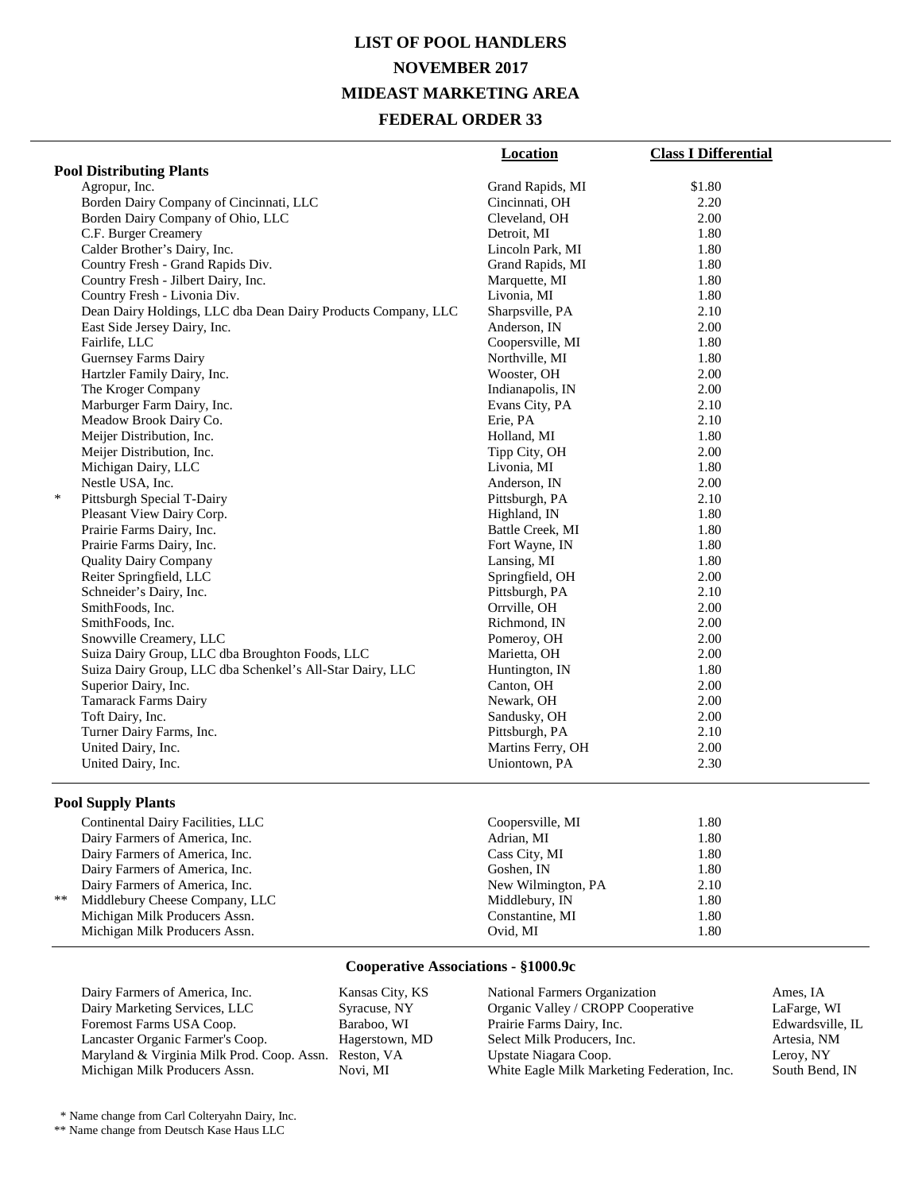# **LIST OF POOL HANDLERS NOVEMBER 2017 MIDEAST MARKETING AREA FEDERAL ORDER 33**

|                                                               | <b>Location</b>   | <b>Class I Differential</b> |
|---------------------------------------------------------------|-------------------|-----------------------------|
| <b>Pool Distributing Plants</b>                               |                   |                             |
| Agropur, Inc.                                                 | Grand Rapids, MI  | \$1.80                      |
| Borden Dairy Company of Cincinnati, LLC                       | Cincinnati, OH    | 2.20                        |
| Borden Dairy Company of Ohio, LLC                             | Cleveland, OH     | 2.00                        |
| C.F. Burger Creamery                                          | Detroit, MI       | 1.80                        |
| Calder Brother's Dairy, Inc.                                  | Lincoln Park, MI  | 1.80                        |
| Country Fresh - Grand Rapids Div.                             | Grand Rapids, MI  | 1.80                        |
| Country Fresh - Jilbert Dairy, Inc.                           | Marquette, MI     | 1.80                        |
| Country Fresh - Livonia Div.                                  | Livonia, MI       | 1.80                        |
| Dean Dairy Holdings, LLC dba Dean Dairy Products Company, LLC | Sharpsville, PA   | 2.10                        |
| East Side Jersey Dairy, Inc.                                  | Anderson, IN      | 2.00                        |
| Fairlife, LLC                                                 | Coopersville, MI  | 1.80                        |
| Guernsey Farms Dairy                                          | Northville, MI    | 1.80                        |
| Hartzler Family Dairy, Inc.                                   | Wooster, OH       | 2.00                        |
| The Kroger Company                                            | Indianapolis, IN  | 2.00                        |
| Marburger Farm Dairy, Inc.                                    | Evans City, PA    | 2.10                        |
| Meadow Brook Dairy Co.                                        | Erie, PA          | 2.10                        |
| Meijer Distribution, Inc.                                     | Holland, MI       | 1.80                        |
| Meijer Distribution, Inc.                                     | Tipp City, OH     | 2.00                        |
| Michigan Dairy, LLC                                           | Livonia, MI       | 1.80                        |
| Nestle USA, Inc.                                              | Anderson, IN      | 2.00                        |
| $\ast$<br>Pittsburgh Special T-Dairy                          | Pittsburgh, PA    | 2.10                        |
| Pleasant View Dairy Corp.                                     | Highland, IN      | 1.80                        |
| Prairie Farms Dairy, Inc.                                     | Battle Creek, MI  | 1.80                        |
| Prairie Farms Dairy, Inc.                                     | Fort Wayne, IN    | 1.80                        |
| <b>Quality Dairy Company</b>                                  | Lansing, MI       | 1.80                        |
| Reiter Springfield, LLC                                       | Springfield, OH   | 2.00                        |
| Schneider's Dairy, Inc.                                       | Pittsburgh, PA    | 2.10                        |
| SmithFoods, Inc.                                              | Orrville, OH      | 2.00                        |
| SmithFoods, Inc.                                              | Richmond, IN      | 2.00                        |
| Snowville Creamery, LLC                                       | Pomeroy, OH       | 2.00                        |
| Suiza Dairy Group, LLC dba Broughton Foods, LLC               | Marietta, OH      | 2.00                        |
| Suiza Dairy Group, LLC dba Schenkel's All-Star Dairy, LLC     | Huntington, IN    | 1.80                        |
| Superior Dairy, Inc.                                          | Canton, OH        | 2.00                        |
| <b>Tamarack Farms Dairy</b>                                   | Newark, OH        | 2.00                        |
| Toft Dairy, Inc.                                              | Sandusky, OH      | 2.00                        |
| Turner Dairy Farms, Inc.                                      | Pittsburgh, PA    | 2.10                        |
| United Dairy, Inc.                                            | Martins Ferry, OH | 2.00                        |
| United Dairy, Inc.                                            | Uniontown, PA     | 2.30                        |
| <b>Pool Supply Plants</b>                                     |                   |                             |

|    | Continental Dairy Facilities, LLC | Coopersville, MI   | 1.80 |
|----|-----------------------------------|--------------------|------|
|    | Dairy Farmers of America, Inc.    | Adrian, MI         | 1.80 |
|    | Dairy Farmers of America, Inc.    | Cass City, MI      | 1.80 |
|    | Dairy Farmers of America, Inc.    | Goshen, IN         | 1.80 |
|    | Dairy Farmers of America, Inc.    | New Wilmington, PA | 2.10 |
| ** | Middlebury Cheese Company, LLC    | Middlebury, IN     | 1.80 |
|    | Michigan Milk Producers Assn.     | Constantine, MI    | 1.80 |
|    | Michigan Milk Producers Assn.     | Ovid, MI           | 1.80 |
|    |                                   |                    |      |

#### **Cooperative Associations - §1000.9c**

Dairy Farmers of America, Inc.<br>
Dairy Marketing Services, LLC<br>
Syracuse, NY Dairy Marketing Services, LLC Syracuse, NY Foremost Farms USA Coop. Baraboo, WI<br>
Lancaster Organic Farmer's Coop. Hagerstown, MD Lancaster Organic Farmer's Coop. Maryland & Virginia Milk Prod. Coop. Assn. Reston, VA Michigan Milk Producers Assn.

National Farmers Organization Ames, IA<br>
Organic Valley / CROPP Cooperative LaFarge, WI Organic Valley / CROPP Cooperative LaFarge, WI Prairie Farms Dairy, Inc. Select Milk Producers, Inc. <br>
1998 - Artesia, NM<br>
1998 - Leroy, NY<br>
1998 - Leroy, NY Upstate Niagara Coop. <br>
White Eagle Milk Marketing Federation, Inc. South Bend, IN White Eagle Milk Marketing Federation, Inc.

\* Name change from Carl Colteryahn Dairy, Inc.